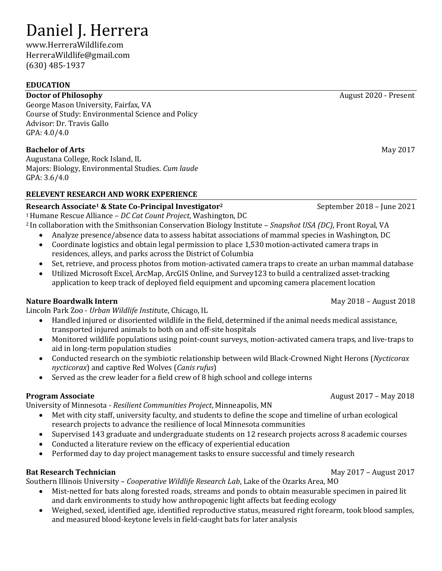# Daniel J. Herrera

www[.HerreraWildlife.com](http://danielherrera13.wixsite.com/research) [HerreraWildlife@gmail.com](mailto:Danielherrera13@augustana.edu) (630) 485-1937

### **EDUCATION**

### **Doctor of Philosophy August 2020 - Present**

George Mason University, Fairfax, VA Course of Study: Environmental Science and Policy Advisor: Dr. Travis Gallo GPA: 4.0/4.0

## **Bachelor of Arts** May 2017

Augustana College, Rock Island, IL Majors: Biology, Environmental Studies. *Cum laude* GPA: 3.6/4.0

## **RELEVENT RESEARCH AND WORK EXPERIENCE**

## **Research Associate<sup>1</sup> & State Co-Principal Investigator<sup>2</sup>** September 2018 – June 2021

<sup>1</sup>Humane Rescue Alliance – *DC Cat Count Project*, Washington, DC <sup>2</sup>In collaboration with the Smithsonian Conservation Biology Institute – *Snapshot USA (DC)*, Front Royal, VA

- Analyze presence/absence data to assess habitat associations of mammal species in Washington, DC
- Coordinate logistics and obtain legal permission to place 1,530 motion-activated camera traps in residences, alleys, and parks across the District of Columbia
- Set, retrieve, and process photos from motion-activated camera traps to create an urban mammal database
- Utilized Microsoft Excel, ArcMap, ArcGIS Online, and Survey123 to build a centralized asset-tracking application to keep track of deployed field equipment and upcoming camera placement location

### **Nature Boardwalk Intern May 2018 – August 2018**

Lincoln Park Zoo - *Urban Wildlife Instit*ute, Chicago, IL

- Handled injured or disoriented wildlife in the field, determined if the animal needs medical assistance, transported injured animals to both on and off-site hospitals
- Monitored wildlife populations using point-count surveys, motion-activated camera traps, and live-traps to aid in long-term population studies
- Conducted research on the symbiotic relationship between wild Black-Crowned Night Herons (*Nycticorax nycticorax*) and captive Red Wolves (*Canis rufus*)
- Served as the crew leader for a field crew of 8 high school and college interns

University of Minnesota - *Resilient Communities Project*, Minneapolis, MN

- Met with city staff, university faculty, and students to define the scope and timeline of urban ecological research projects to advance the resilience of local Minnesota communities
- Supervised 143 graduate and undergraduate students on 12 research projects across 8 academic courses
- Conducted a literature review on the efficacy of experiential education
- Performed day to day project management tasks to ensure successful and timely research

### **Bat Research Technician May 2017** – August 2017

Southern Illinois University – *Cooperative Wildlife Research Lab*, Lake of the Ozarks Area, MO

- Mist-netted for bats along forested roads, streams and ponds to obtain measurable specimen in paired lit and dark environments to study how anthropogenic light affects bat feeding ecology
- Weighed, sexed, identified age, identified reproductive status, measured right forearm, took blood samples, and measured blood-keytone levels in field-caught bats for later analysis

**Program Associate August 2017** – May 2018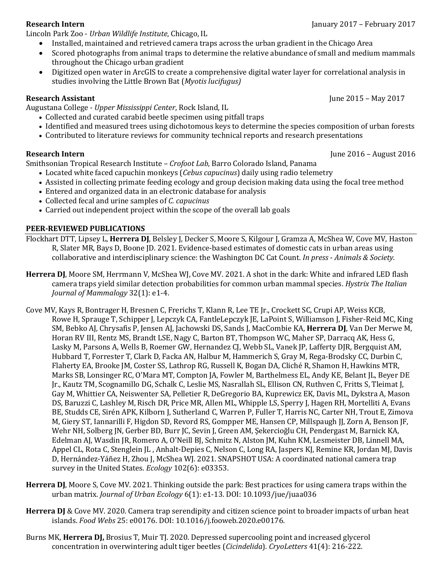Lincoln Park Zoo - *Urban Wildlife Institute*, Chicago, IL

- Installed, maintained and retrieved camera traps across the urban gradient in the Chicago Area
- Scored photographs from animal traps to determine the relative abundance of small and medium mammals throughout the Chicago urban gradient
- Digitized open water in ArcGIS to create a comprehensive digital water layer for correlational analysis in studies involving the Little Brown Bat (*Myotis lucifugus)*

### **Research Assistant** June 2015 – May 2017

Augustana College - *Upper Mississippi Center*, Rock Island, IL

- Collected and curated carabid beetle specimen using pitfall traps
- Identified and measured trees using dichotomous keys to determine the species composition of urban forests
- Contributed to literature reviews for community technical reports and research presentations

### **Research Intern** June 2016 – August 2016

Smithsonian Tropical Research Institute – *Crofoot Lab*, Barro Colorado Island, Panama

- Located white faced capuchin monkeys (*Cebus capucinus*) daily using radio telemetry
- Assisted in collecting primate feeding ecology and group decision making data using the focal tree method
- Entered and organized data in an electronic database for analysis
- Collected fecal and urine samples of *C. capucinus*
- Carried out independent project within the scope of the overall lab goals

### **PEER-REVIEWED PUBLICATIONS**

- Flockhart DTT, Lipsey L, **Herrera DJ**, Belsley J, Decker S, Moore S, Kilgour J, Gramza A, McShea W, Cove MV, Haston R, Slater MR, Bays D, Boone JD. 2021. Evidence-based estimates of domestic cats in urban areas using collaborative and interdisciplinary science: the Washington DC Cat Count. *In press* - *Animals & Society.*
- **Herrera DJ**, Moore SM, Herrmann V, McShea WJ, Cove MV. 2021. A shot in the dark: White and infrared LED flash camera traps yield similar detection probabilities for common urban mammal species. *Hystrix The Italian Journal of Mammalogy* 32(1): e1-4.
- Cove MV, Kays R, Bontrager H, Bresnen C, Frerichs T, Klann R, Lee TE Jr., Crockett SC, Crupi AP, Weiss KCB, Rowe H, Sprauge T, Schipper J, Lepczyk CA, FantleLepczyk JE, LaPoint S, Williamson J, Fisher-Reid MC, King SM, Bebko AJ, Chrysafis P, Jensen AJ, Jachowski DS, Sands J, MacCombie KA, **Herrera DJ**, Van Der Merwe M, Horan RV III, Rentz MS, Brandt LSE, Nagy C, Barton BT, Thompson WC, Maher SP, Darracq AK, Hess G, Lasky M, Parsons A, Wells B, Roemer GW, Hernandez CJ, Webb SL, Vanek JP, Lafferty DJR, Bergquist AM, Hubbard T, Forrester T, Clark D, Facka AN, Halbur M, Hammerich S, Gray M, Rega-Brodsky CC, Durbin C, Flaherty EA, Brooke JM, Coster SS, Lathrop RG, Russell K, Bogan DA, Cliché R, Shamon H, Hawkins MTR, Marks SB, Lonsinger RC, O'Mara MT, Compton JA, Fowler M, Barthelmess EL, Andy KE, Belant JL, Beyer DE Jr., Kautz TM, Scognamillo DG, Schalk C, Leslie MS, Nasrallah SL, Ellison CN, Ruthven C, Fritts S, Tleimat J, Gay M, Whittier CA, Neiswenter SA, Pelletier R, DeGregorio BA, Kuprewicz EK, Davis ML, Dykstra A, Mason DS, Baruzzi C, Lashley M, Risch DR, Price MR, Allen ML, Whipple LS, Sperry J, Hagen RH, Mortelliti A, Evans BE, Studds CE, Sirén APK, Kilborn J, Sutherland C, Warren P, Fuller T, Harris NC, Carter NH, Trout E, Zimova M, Giery ST, Iannarilli F, Higdon SD, Revord RS, Gompper ME, Hansen CP, Millspaugh JJ, Zorn A, Benson JF, Wehr NH, Solberg JN, Gerber BD, Burr JC, Sevin J, Green AM, Şekercioğlu CH, Pendergast M, Barnick KA, Edelman AJ, Wasdin JR, Romero A, O'Neill BJ, Schmitz N, Alston JM, Kuhn KM, Lesmeister DB, Linnell MA, Appel CL, Rota C, Stenglein JL , Anhalt-Depies C, Nelson C, Long RA, Jaspers KJ, Remine KR, Jordan MJ, Davis D, Hernández-Yáñez H, Zhou J, McShea WJ. 2021. SNAPSHOT USA: A coordinated national camera trap survey in the United States. *Ecology* 102(6): e03353.
- **Herrera DJ**, Moore S, Cove MV. 2021. Thinking outside the park: Best practices for using camera traps within the urban matrix. *Journal of Urban Ecology* 6(1): e1-13. DOI: 10.1093/jue/juaa036
- **Herrera DJ** & Cove MV. 2020. Camera trap serendipity and citizen science point to broader impacts of urban heat islands. *Food Webs* 25: e00176. DOI: 10.1016/j.fooweb.2020.e00176.
- Burns MK, **Herrera DJ,** Brosius T, Muir TJ. 2020. Depressed supercooling point and increased glycerol concentration in overwintering adult tiger beetles (*Cicindelida*). *CryoLetters* 41(4): 216-222.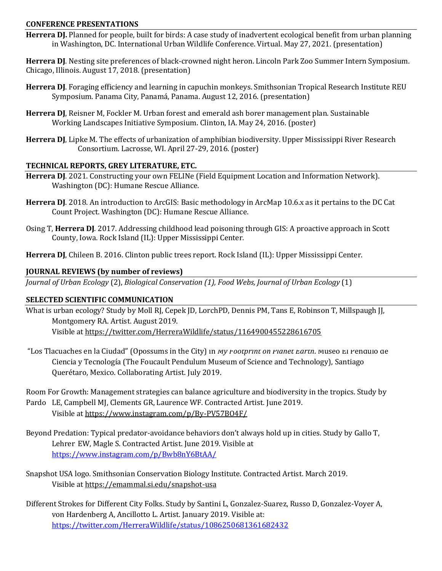### **CONFERENCE PRESENTATIONS**

**Herrera DJ.** Planned for people, built for birds: A case study of inadvertent ecological benefit from urban planning in Washington, DC. International Urban Wildlife Conference. Virtual. May 27, 2021. (presentation)

**Herrera DJ**. Nesting site preferences of black-crowned night heron. Lincoln Park Zoo Summer Intern Symposium. Chicago, Illinois. August 17, 2018. (presentation)

- **Herrera DJ**. Foraging efficiency and learning in capuchin monkeys. Smithsonian Tropical Research Institute REU Symposium. Panama City, Panamá, Panama. August 12, 2016. (presentation)
- **Herrera DJ**, Reisner M, Fockler M. Urban forest and emerald ash borer management plan. Sustainable Working Landscapes Initiative Symposium. Clinton, IA. May 24, 2016. (poster)
- **Herrera DJ**, Lipke M. The effects of urbanization of amphibian biodiversity. Upper Mississippi River Research Consortium. Lacrosse, WI. April 27-29, 2016. (poster)

### **TECHNICAL REPORTS, GREY LITERATURE, ETC.**

- **Herrera DJ**. 2021. Constructing your own FELINe (Field Equipment Location and Information Network). Washington (DC): Humane Rescue Alliance.
- **Herrera DJ**. 2018. An introduction to ArcGIS: Basic methodology in ArcMap 10.6.x as it pertains to the DC Cat Count Project. Washington (DC): Humane Rescue Alliance.
- Osing T, **Herrera DJ**. 2017. Addressing childhood lead poisoning through GIS: A proactive approach in Scott County, Iowa. Rock Island (IL): Upper Mississippi Center.
- **Herrera DJ**, Chileen B. 2016. Clinton public trees report. Rock Island (IL): Upper Mississippi Center.

### **JOURNAL REVIEWS (by number of reviews)**

*Journal of Urban Ecology* (2), *Biological Conservation (1), Food Webs, Journal of Urban Ecology* (1)

### **SELECTED SCIENTIFIC COMMUNICATION**

What is urban ecology? Study by Moll RJ, Cepek JD, LorchPD, Dennis PM, Tans E, Robinson T, Millspaugh JJ, Montgomery RA. Artist. August 2019. Visible at<https://twitter.com/HerreraWildlife/status/1164900455228616705>

"Los Tlacuaches en la Ciudad" (Opossums in the City) in *My Footprint on Planet Earth*. Museo El Péndulo de Ciencia y Tecnología (The Foucault Pendulum Museum of Science and Technology), Santiago Querétaro, Mexico. Collaborating Artist. July 2019.

Room For Growth: Management strategies can balance agriculture and biodiversity in the tropics. Study by

- Pardo LE, Campbell MJ, Clements GR, Laurence WF. Contracted Artist. June 2019. Visible at<https://www.instagram.com/p/By-PV57BO4F/>
- Beyond Predation: Typical predator-avoidance behaviors don't always hold up in cities. Study by Gallo T, Lehrer EW, Magle S. Contracted Artist. June 2019. Visible at <https://www.instagram.com/p/Bwb8nY6BtAA/>
- Snapshot USA logo. Smithsonian Conservation Biology Institute. Contracted Artist. March 2019. Visible at<https://emammal.si.edu/snapshot-usa>
- Different Strokes for Different City Folks. Study by Santini L, Gonzalez-Suarez, Russo D, Gonzalez-Voyer A, von Hardenberg A, Ancillotto L. Artist. January 2019. Visible at: <https://twitter.com/HerreraWildlife/status/1086250681361682432>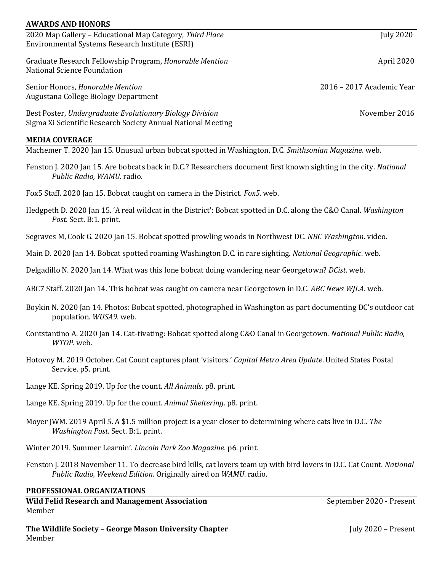| <b>AWARDS AND HONORS</b>                                                                                                                        |                           |  |
|-------------------------------------------------------------------------------------------------------------------------------------------------|---------------------------|--|
| 2020 Map Gallery - Educational Map Category, Third Place<br>Environmental Systems Research Institute (ESRI)                                     | <b>July 2020</b>          |  |
| Graduate Research Fellowship Program, Honorable Mention<br>National Science Foundation                                                          | April 2020                |  |
| Senior Honors, Honorable Mention<br>Augustana College Biology Department                                                                        | 2016 – 2017 Academic Year |  |
| Best Poster, Undergraduate Evolutionary Biology Division<br>Sigma Xi Scientific Research Society Annual National Meeting                        | November 2016             |  |
| <b>MEDIA COVERAGE</b>                                                                                                                           |                           |  |
| Machemer T. 2020 Jan 15. Unusual urban bobcat spotted in Washington, D.C. Smithsonian Magazine. web.                                            |                           |  |
| Fenston J. 2020 Jan 15. Are bobcats back in D.C.? Researchers document first known sighting in the city. National<br>Public Radio, WAMU. radio. |                           |  |
| Fox5 Staff. 2020 Jan 15. Bobcat caught on camera in the District. <i>Fox5</i> . web.                                                            |                           |  |
| Hedgpeth D. 2020 Jan 15. 'A real wildcat in the District': Bobcat spotted in D.C. along the C&O Canal. Washington<br>Post. Sect. B:1. print.    |                           |  |

Segraves M, Cook G. 2020 Jan 15. Bobcat spotted prowling woods in Northwest DC. *NBC Washington*. video.

Main D. 2020 Jan 14. Bobcat spotted roaming Washington D.C. in rare sighting. *National Geographic*. web.

Delgadillo N. 2020 Jan 14. What was this lone bobcat doing wandering near Georgetown? *DCist*. web.

ABC7 Staff. 2020 Jan 14. This bobcat was caught on camera near Georgetown in D.C. *ABC News WJLA*. web.

- Boykin N. 2020 Jan 14. Photos: Bobcat spotted, photographed in Washington as part documenting DC's outdoor cat population. *WUSA9*. web.
- Contstantino A. 2020 Jan 14. Cat-tivating: Bobcat spotted along C&O Canal in Georgetown. *National Public Radio, WTOP*. web.
- Hotovoy M. 2019 October. Cat Count captures plant 'visitors.' *Capital Metro Area Update*. United States Postal Service. p5. print.
- Lange KE. Spring 2019. Up for the count. *All Animals*. p8. print.
- Lange KE. Spring 2019. Up for the count. *Animal Sheltering*. p8. print.
- Moyer JWM. 2019 April 5. A \$1.5 million project is a year closer to determining where cats live in D.C. *The Washington Post*. Sect. B:1. print.
- Winter 2019. Summer Learnin'. *Lincoln Park Zoo Magazine*. p6. print.
- Fenston J. 2018 November 11. To decrease bird kills, cat lovers team up with bird lovers in D.C. Cat Count. *National Public Radio, Weekend Edition.* Originally aired on *WAMU*. radio.

### **PROFESSIONAL ORGANIZATIONS**

**Wild Felid Research and Management Association** Member

September 2020 - Present